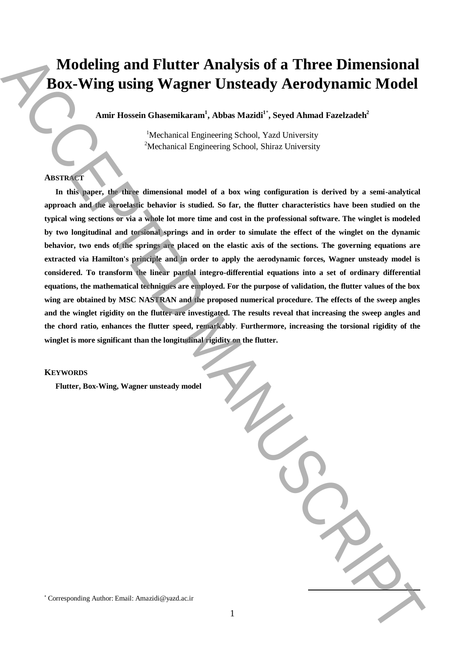# **Modeling and Flutter Analysis of a Three Dimensional Box-Wing using Wagner Unsteady Aerodynamic Model**

**Amir Hossein Ghasemikaram<sup>1</sup> , Abbas Mazidi<sup>1</sup>**\* **, Seyed Ahmad Fazelzadeh<sup>2</sup>**

<sup>1</sup>Mechanical Engineering School, Yazd University <sup>2</sup>Mechanical Engineering School, Shiraz University

## **ABSTRACT**

**In this paper, the three dimensional model of a box wing configuration is derived by a semi-analytical approach and the aeroelastic behavior is studied. So far, the flutter characteristics have been studied on the typical wing sections or via a whole lot more time and cost in the professional software. The winglet is modeled by two longitudinal and torsional springs and in order to simulate the effect of the winglet on the dynamic behavior, two ends of the springs are placed on the elastic axis of the sections. The governing equations are extracted via Hamilton's principle and in order to apply the aerodynamic forces, Wagner unsteady model is considered. To transform the linear partial integro-differential equations into a set of ordinary differential equations, the mathematical techniques are employed. For the purpose of validation, the flutter values of the box wing are obtained by MSC NASTRAN and the proposed numerical procedure. The effects of the sweep angles and the winglet rigidity on the flutter are investigated. The results reveal that increasing the sweep angles and the chord ratio, enhances the flutter speed, remarkably**. **Furthermore, increasing the torsional rigidity of the winglet is more significant than the longitudinal rigidity on the flutter.** Modeling and Flutter Analysis of a Three Dimensional **Box-Wing using Wagner Unsteady Aerodynamic Model**<br>
And Rosenbach Chasenbach (Abbas Madel<sup>2</sup>: Sevel Aband Farchach's "Alexanical Engels assoc. Sent Case that the result

#### **KEYWORDS**

**Flutter, Box-Wing, Wagner unsteady model**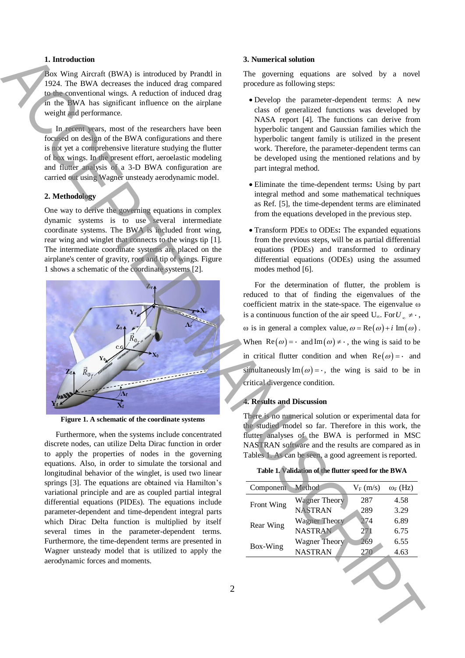## **1. Introduction**

Box Wing Aircraft (BWA) is introduced by Prandtl in 1924. The BWA decreases the induced drag compared to the conventional wings. A reduction of induced drag in the BWA has significant influence on the airplane weight and performance.

In recent years, most of the researchers have been focused on design of the BWA configurations and there is not yet a comprehensive literature studying the flutter of box wings. In the present effort, aeroelastic modeling and flutter analysis of a 3-D BWA configuration are carried out using Wagner unsteady aerodynamic model.

## **2. Methodology**

One way to derive the governing equations in complex dynamic systems is to use several intermediate coordinate systems. The BWA is included front wing, rear wing and winglet that connects to the wings tip [1]. The intermediate coordinate systems are placed on the airplane's center of gravity, root and tip of wings. Figure 1 shows a schematic of the coordinate systems [2].



**Figure 1. A schematic of the coordinate systems**

Furthermore, when the systems include concentrated discrete nodes, can utilize Delta Dirac function in order to apply the properties of nodes in the governing equations. Also, in order to simulate the torsional and longitudinal behavior of the winglet, is used two linear springs [3]. The equations are obtained via Hamilton's variational principle and are as coupled partial integral differential equations (PIDEs). The equations include parameter-dependent and time-dependent integral parts which Dirac Delta function is multiplied by itself several times in the parameter-dependent terms. Furthermore, the time-dependent terms are presented in Wagner unsteady model that is utilized to apply the aerodynamic forces and moments.

## **3. Numerical solution**

The governing equations are solved by a novel procedure as following steps:

- Develop the parameter-dependent terms: A new class of generalized functions was developed by NASA report [4]. The functions can derive from hyperbolic tangent and Gaussian families which the hyperbolic tangent family is utilized in the present work. Therefore, the parameter-dependent terms can be developed using the mentioned relations and by part integral method.
- Eliminate the time-dependent terms**:** Using by part integral method and some mathematical techniques as Ref. [5], the time-dependent terms are eliminated from the equations developed in the previous step.
- Transform PDEs to ODEs**:** The expanded equations from the previous steps, will be as partial differential equations (PDEs) and transformed to ordinary differential equations (ODEs) using the assumed modes method [6].

For the determination of flutter, the problem is reduced to that of finding the eigenvalues of the coefficient matrix in the state-space. The eigenvalue ω is a continuous function of the air speed U<sub>∞</sub>. For  $U_{\infty} \neq \cdot$ ,  $\omega$  is in general a complex value,  $\omega = \text{Re}(\omega) + i \text{Im}(\omega)$ . When  $\text{Re}(\omega) = \cdot$  and  $\text{Im}(\omega) \neq \cdot$ , the wing is said to be in critical flutter condition and when  $\text{Re}(\omega) = \cdot$  and simultaneously Im( $\omega$ ) = ·, the wing is said to be in critical divergence condition.

## **4. Results and Discussion**

There is no numerical solution or experimental data for the studied model so far. Therefore in this work, the flutter analyses of the BWA is performed in MSC NASTRAN software and the results are compared as in Tables 1. As can be seen, a good agreement is reported.

|  | Table 1. Validation of the flutter speed for the BWA |  |
|--|------------------------------------------------------|--|
|  |                                                      |  |

| Component  | <b>Method</b>        | $V_F(m/s)$ | $\omega_F$ (Hz) |
|------------|----------------------|------------|-----------------|
| Front Wing | <b>Wagner Theory</b> | 287        | 4.58            |
|            | <b>NASTRAN</b>       | 289        | 3.29            |
| Rear Wing  | <b>Wagner Theory</b> | 274        | 6.89            |
|            | <b>NASTRAN</b>       | 271        | 6.75            |
| Box-Wing   | Wagner Theory        | 269        | 6.55            |
|            | <b>NASTRAN</b>       |            | 4.63            |